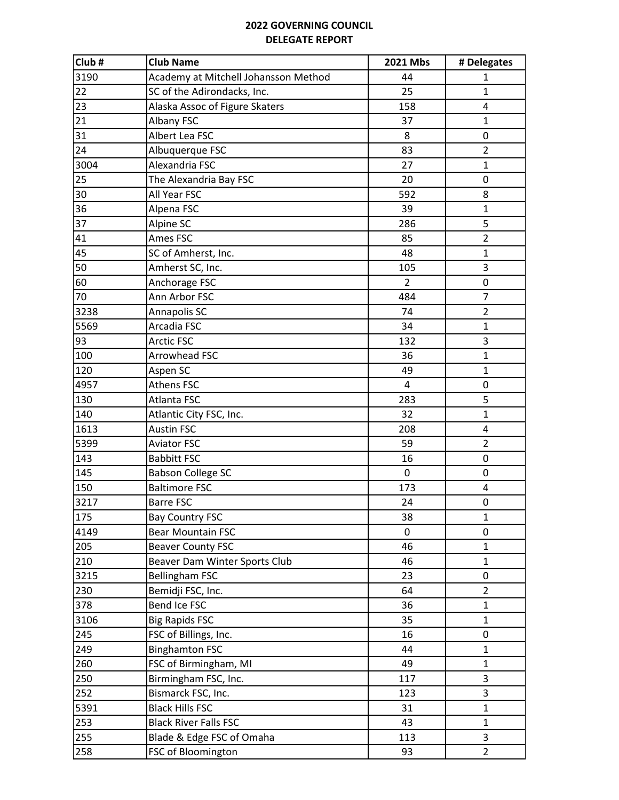| Club#           | <b>Club Name</b>                     | 2021 Mbs       | # Delegates    |
|-----------------|--------------------------------------|----------------|----------------|
| 3190            | Academy at Mitchell Johansson Method | 44             | $\mathbf{1}$   |
| 22              | SC of the Adirondacks, Inc.          | 25             | $\mathbf{1}$   |
| 23              | Alaska Assoc of Figure Skaters       | 158            | $\overline{4}$ |
| 21              | Albany FSC                           | 37             | $\mathbf{1}$   |
| 31              | Albert Lea FSC                       | 8              | 0              |
| 24              | Albuquerque FSC                      | 83             | $\overline{2}$ |
| 3004            | Alexandria FSC                       | 27             | $\mathbf{1}$   |
| 25              | The Alexandria Bay FSC               | 20             | 0              |
| 30              | All Year FSC                         | 592            | 8              |
| 36              | Alpena FSC                           | 39             | $\mathbf{1}$   |
| $\overline{37}$ | Alpine SC                            | 286            | 5              |
| 41              | Ames FSC                             | 85             | $\overline{2}$ |
| 45              | SC of Amherst, Inc.                  | 48             | $\mathbf{1}$   |
| 50              | Amherst SC, Inc.                     | 105            | 3              |
| 60              | Anchorage FSC                        | $\overline{2}$ | $\mathbf 0$    |
| 70              | Ann Arbor FSC                        | 484            | $\overline{7}$ |
| 3238            | Annapolis SC                         | 74             | $\overline{2}$ |
| 5569            | Arcadia FSC                          | 34             | $\mathbf{1}$   |
| 93              | <b>Arctic FSC</b>                    | 132            | 3              |
| 100             | Arrowhead FSC                        | 36             | $\mathbf{1}$   |
| 120             | Aspen SC                             | 49             | $\mathbf{1}$   |
| 4957            | Athens FSC                           | $\overline{4}$ | $\mathbf 0$    |
| 130             | Atlanta FSC                          | 283            | 5              |
| 140             | Atlantic City FSC, Inc.              | 32             | $\mathbf{1}$   |
| 1613            | <b>Austin FSC</b>                    | 208            | 4              |
| 5399            | <b>Aviator FSC</b>                   | 59             | $\overline{2}$ |
| 143             | <b>Babbitt FSC</b>                   | 16             | $\mathbf 0$    |
| 145             | <b>Babson College SC</b>             | $\mathbf 0$    | $\pmb{0}$      |
| 150             | <b>Baltimore FSC</b>                 | 173            | 4              |
| 3217            | <b>Barre FSC</b>                     | 24             | $\mathbf 0$    |
| 175             | <b>Bay Country FSC</b>               | 38             | $\mathbf{1}$   |
| 4149            | <b>Bear Mountain FSC</b>             | 0              | 0              |
| 205             | <b>Beaver County FSC</b>             | 46             | $\mathbf{1}$   |
| 210             | Beaver Dam Winter Sports Club        | 46             | $\mathbf{1}$   |
| 3215            | <b>Bellingham FSC</b>                | 23             | 0              |
| 230             | Bemidji FSC, Inc.                    | 64             | $\overline{2}$ |
| 378             | <b>Bend Ice FSC</b>                  | 36             | $\mathbf{1}$   |
| 3106            | <b>Big Rapids FSC</b>                | 35             | $\mathbf{1}$   |
| 245             | FSC of Billings, Inc.                | 16             | 0              |
| 249             | <b>Binghamton FSC</b>                | 44             | $\mathbf{1}$   |
| 260             | FSC of Birmingham, MI                | 49             | $\mathbf{1}$   |
| 250             | Birmingham FSC, Inc.                 | 117            | 3              |
| 252             | Bismarck FSC, Inc.                   | 123            | 3              |
| 5391            | <b>Black Hills FSC</b>               | 31             | $\mathbf{1}$   |
| 253             | <b>Black River Falls FSC</b>         | 43             | $\mathbf{1}$   |
| 255             | Blade & Edge FSC of Omaha            | 113            | 3              |
| 258             | FSC of Bloomington                   | 93             | $\overline{2}$ |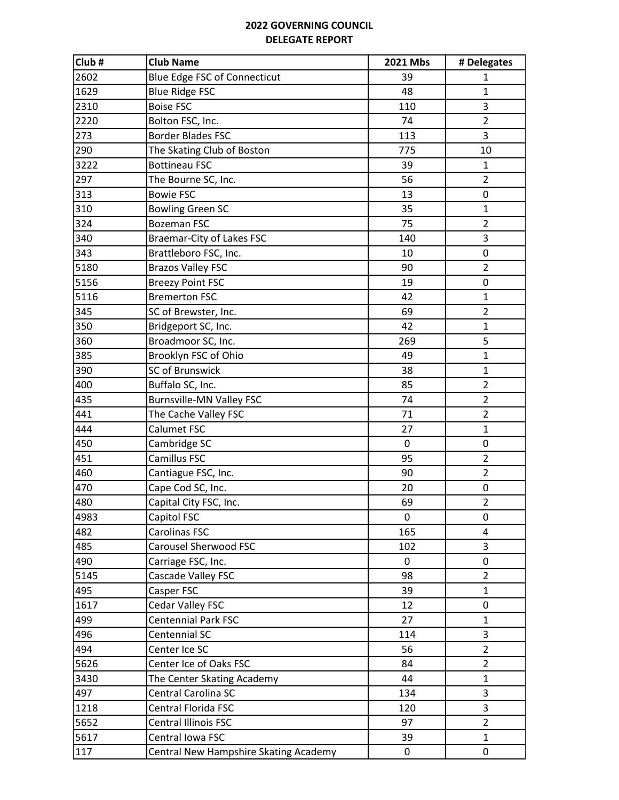| Club# | <b>Club Name</b>                      | 2021 Mbs | # Delegates    |
|-------|---------------------------------------|----------|----------------|
| 2602  | Blue Edge FSC of Connecticut          | 39       | 1              |
| 1629  | <b>Blue Ridge FSC</b>                 | 48       | $\mathbf{1}$   |
| 2310  | <b>Boise FSC</b>                      | 110      | 3              |
| 2220  | Bolton FSC, Inc.                      | 74       | $\overline{2}$ |
| 273   | <b>Border Blades FSC</b>              | 113      | 3              |
| 290   | The Skating Club of Boston            | 775      | 10             |
| 3222  | <b>Bottineau FSC</b>                  | 39       | $\mathbf{1}$   |
| 297   | The Bourne SC, Inc.                   | 56       | $\overline{2}$ |
| 313   | <b>Bowie FSC</b>                      | 13       | 0              |
| 310   | <b>Bowling Green SC</b>               | 35       | $\mathbf{1}$   |
| 324   | <b>Bozeman FSC</b>                    | 75       | $\overline{2}$ |
| 340   | Braemar-City of Lakes FSC             | 140      | 3              |
| 343   | Brattleboro FSC, Inc.                 | 10       | 0              |
| 5180  | <b>Brazos Valley FSC</b>              | 90       | $\overline{2}$ |
| 5156  | <b>Breezy Point FSC</b>               | 19       | 0              |
| 5116  | <b>Bremerton FSC</b>                  | 42       | $\mathbf{1}$   |
| 345   | SC of Brewster, Inc.                  | 69       | $\overline{2}$ |
| 350   | Bridgeport SC, Inc.                   | 42       | $\mathbf{1}$   |
| 360   | Broadmoor SC, Inc.                    | 269      | 5              |
| 385   | Brooklyn FSC of Ohio                  | 49       | $\mathbf{1}$   |
| 390   | SC of Brunswick                       | 38       | $\mathbf 1$    |
| 400   | Buffalo SC, Inc.                      | 85       | $\overline{2}$ |
| 435   | <b>Burnsville-MN Valley FSC</b>       | 74       | $\overline{2}$ |
| 441   | The Cache Valley FSC                  | 71       | $\overline{2}$ |
| 444   | Calumet FSC                           | 27       | $\mathbf{1}$   |
| 450   | Cambridge SC                          | 0        | 0              |
| 451   | Camillus FSC                          | 95       | $\overline{2}$ |
| 460   | Cantiague FSC, Inc.                   | 90       | $\overline{2}$ |
| 470   | Cape Cod SC, Inc.                     | 20       | 0              |
| 480   | Capital City FSC, Inc.                | 69       | $\overline{2}$ |
| 4983  | Capitol FSC                           | 0        | 0              |
| 482   | Carolinas FSC                         | 165      | 4              |
| 485   | <b>Carousel Sherwood FSC</b>          | 102      | 3              |
| 490   | Carriage FSC, Inc.                    | 0        | 0              |
| 5145  | Cascade Valley FSC                    | 98       | $\overline{2}$ |
| 495   | Casper FSC                            | 39       | 1              |
| 1617  | Cedar Valley FSC                      | 12       | 0              |
| 499   | <b>Centennial Park FSC</b>            | 27       | $\mathbf{1}$   |
| 496   | Centennial SC                         | 114      | 3              |
| 494   | Center Ice SC                         | 56       | $\overline{2}$ |
| 5626  | Center Ice of Oaks FSC                | 84       | $\overline{2}$ |
| 3430  | The Center Skating Academy            | 44       | $\mathbf{1}$   |
| 497   | Central Carolina SC                   | 134      | 3              |
| 1218  | Central Florida FSC                   | 120      | 3              |
| 5652  | <b>Central Illinois FSC</b>           | 97       | $\overline{2}$ |
| 5617  | Central Iowa FSC                      | 39       | $\mathbf{1}$   |
| 117   | Central New Hampshire Skating Academy | 0        | 0              |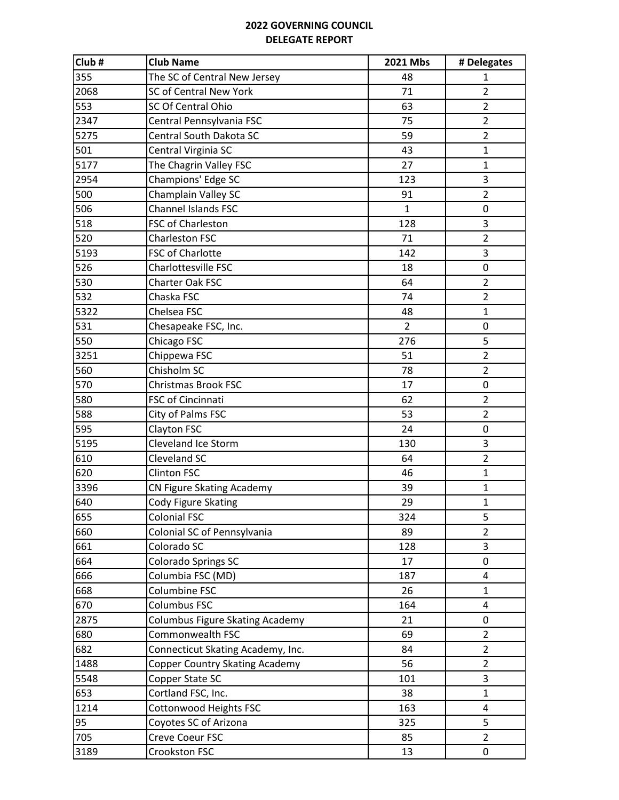| Club# | <b>Club Name</b>                       | 2021 Mbs       | # Delegates             |
|-------|----------------------------------------|----------------|-------------------------|
| 355   | The SC of Central New Jersey           | 48             | 1                       |
| 2068  | SC of Central New York                 | 71             | $\overline{2}$          |
| 553   | SC Of Central Ohio                     | 63             | $\overline{2}$          |
| 2347  | Central Pennsylvania FSC               | 75             | $\overline{2}$          |
| 5275  | Central South Dakota SC                | 59             | $\overline{2}$          |
| 501   | Central Virginia SC                    | 43             | $\mathbf{1}$            |
| 5177  | The Chagrin Valley FSC                 | 27             | $\mathbf{1}$            |
| 2954  | Champions' Edge SC                     | 123            | 3                       |
| 500   | Champlain Valley SC                    | 91             | $\overline{2}$          |
| 506   | <b>Channel Islands FSC</b>             | $\mathbf{1}$   | 0                       |
| 518   | FSC of Charleston                      | 128            | 3                       |
| 520   | <b>Charleston FSC</b>                  | 71             | $\overline{2}$          |
| 5193  | FSC of Charlotte                       | 142            | 3                       |
| 526   | Charlottesville FSC                    | 18             | 0                       |
| 530   | Charter Oak FSC                        | 64             | $\overline{2}$          |
| 532   | Chaska FSC                             | 74             | $\overline{2}$          |
| 5322  | Chelsea FSC                            | 48             | $\mathbf{1}$            |
| 531   | Chesapeake FSC, Inc.                   | $\overline{2}$ | 0                       |
| 550   | Chicago FSC                            | 276            | 5                       |
| 3251  | Chippewa FSC                           | 51             | $\overline{2}$          |
| 560   | Chisholm SC                            | 78             | $\overline{2}$          |
| 570   | <b>Christmas Brook FSC</b>             | 17             | 0                       |
| 580   | FSC of Cincinnati                      | 62             | $\overline{2}$          |
| 588   | City of Palms FSC                      | 53             | $\overline{2}$          |
| 595   | Clayton FSC                            | 24             | 0                       |
| 5195  | Cleveland Ice Storm                    | 130            | 3                       |
| 610   | Cleveland SC                           | 64             | $\overline{2}$          |
| 620   | <b>Clinton FSC</b>                     | 46             | $\mathbf{1}$            |
| 3396  | <b>CN Figure Skating Academy</b>       | 39             | 1                       |
| 640   | Cody Figure Skating                    | 29             | $\mathbf{1}$            |
| 655   | <b>Colonial FSC</b>                    | 324            | 5                       |
| 660   | Colonial SC of Pennsylvania            | 89             | $\overline{2}$          |
| 661   | Colorado SC                            | 128            | 3                       |
| 664   | Colorado Springs SC                    | 17             | 0                       |
| 666   | Columbia FSC (MD)                      | 187            | 4                       |
| 668   | Columbine FSC                          | 26             | 1                       |
| 670   | Columbus FSC                           | 164            | 4                       |
| 2875  | <b>Columbus Figure Skating Academy</b> | 21             | 0                       |
| 680   | Commonwealth FSC                       | 69             | $\overline{2}$          |
| 682   | Connecticut Skating Academy, Inc.      | 84             | $\overline{2}$          |
| 1488  | Copper Country Skating Academy         | 56             | $\overline{2}$          |
| 5548  | Copper State SC                        | 101            | 3                       |
| 653   | Cortland FSC, Inc.                     | 38             | $\mathbf{1}$            |
| 1214  | Cottonwood Heights FSC                 | 163            | $\overline{\mathbf{4}}$ |
| 95    | Coyotes SC of Arizona                  | 325            | 5                       |
| 705   | Creve Coeur FSC                        | 85             | $\overline{2}$          |
| 3189  | Crookston FSC                          | 13             | 0                       |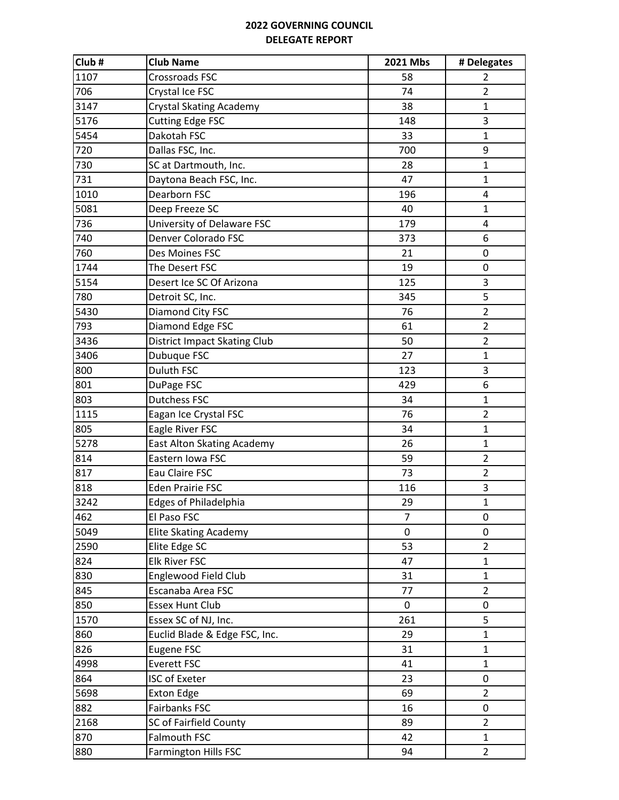| Club# | <b>Club Name</b>                    | 2021 Mbs | # Delegates    |
|-------|-------------------------------------|----------|----------------|
| 1107  | <b>Crossroads FSC</b>               | 58       | 2              |
| 706   | Crystal Ice FSC                     | 74       | $\overline{2}$ |
| 3147  | <b>Crystal Skating Academy</b>      | 38       | $\mathbf{1}$   |
| 5176  | <b>Cutting Edge FSC</b>             | 148      | 3              |
| 5454  | Dakotah FSC                         | 33       | $\mathbf{1}$   |
| 720   | Dallas FSC, Inc.                    | 700      | 9              |
| 730   | SC at Dartmouth, Inc.               | 28       | $\mathbf{1}$   |
| 731   | Daytona Beach FSC, Inc.             | 47       | 1              |
| 1010  | Dearborn FSC                        | 196      | 4              |
| 5081  | Deep Freeze SC                      | 40       | $\mathbf{1}$   |
| 736   | University of Delaware FSC          | 179      | 4              |
| 740   | Denver Colorado FSC                 | 373      | 6              |
| 760   | Des Moines FSC                      | 21       | 0              |
| 1744  | The Desert FSC                      | 19       | 0              |
| 5154  | Desert Ice SC Of Arizona            | 125      | 3              |
| 780   | Detroit SC, Inc.                    | 345      | 5              |
| 5430  | Diamond City FSC                    | 76       | $\overline{2}$ |
| 793   | Diamond Edge FSC                    | 61       | $\overline{2}$ |
| 3436  | <b>District Impact Skating Club</b> | 50       | $\overline{2}$ |
| 3406  | Dubuque FSC                         | 27       | $\mathbf{1}$   |
| 800   | Duluth FSC                          | 123      | 3              |
| 801   | DuPage FSC                          | 429      | 6              |
| 803   | <b>Dutchess FSC</b>                 | 34       | 1              |
| 1115  | Eagan Ice Crystal FSC               | 76       | $\overline{2}$ |
| 805   | Eagle River FSC                     | 34       | $\mathbf{1}$   |
| 5278  | East Alton Skating Academy          | 26       | $\mathbf{1}$   |
| 814   | Eastern Iowa FSC                    | 59       | $\overline{2}$ |
| 817   | Eau Claire FSC                      | 73       | $\overline{2}$ |
| 818   | <b>Eden Prairie FSC</b>             | 116      | 3              |
| 3242  | <b>Edges of Philadelphia</b>        | 29       | $\mathbf{1}$   |
| 462   | El Paso FSC                         | 7        | 0              |
| 5049  | <b>Elite Skating Academy</b>        | 0        | 0              |
| 2590  | Elite Edge SC                       | 53       | $\overline{2}$ |
| 824   | <b>Elk River FSC</b>                | 47       | $\mathbf{1}$   |
| 830   | Englewood Field Club                | 31       | $\mathbf{1}$   |
| 845   | Escanaba Area FSC                   | 77       | $\overline{2}$ |
| 850   | <b>Essex Hunt Club</b>              | 0        | 0              |
| 1570  | Essex SC of NJ, Inc.                | 261      | 5              |
| 860   | Euclid Blade & Edge FSC, Inc.       | 29       | $\mathbf{1}$   |
| 826   | Eugene FSC                          | 31       | $\mathbf{1}$   |
| 4998  | Everett FSC                         | 41       | $\mathbf{1}$   |
| 864   | <b>ISC of Exeter</b>                | 23       | 0              |
| 5698  | <b>Exton Edge</b>                   | 69       | $\overline{2}$ |
| 882   | Fairbanks FSC                       | 16       | 0              |
| 2168  | SC of Fairfield County              | 89       | $\overline{2}$ |
| 870   | Falmouth FSC                        | 42       | $\mathbf{1}$   |
| 880   | <b>Farmington Hills FSC</b>         | 94       | $\overline{2}$ |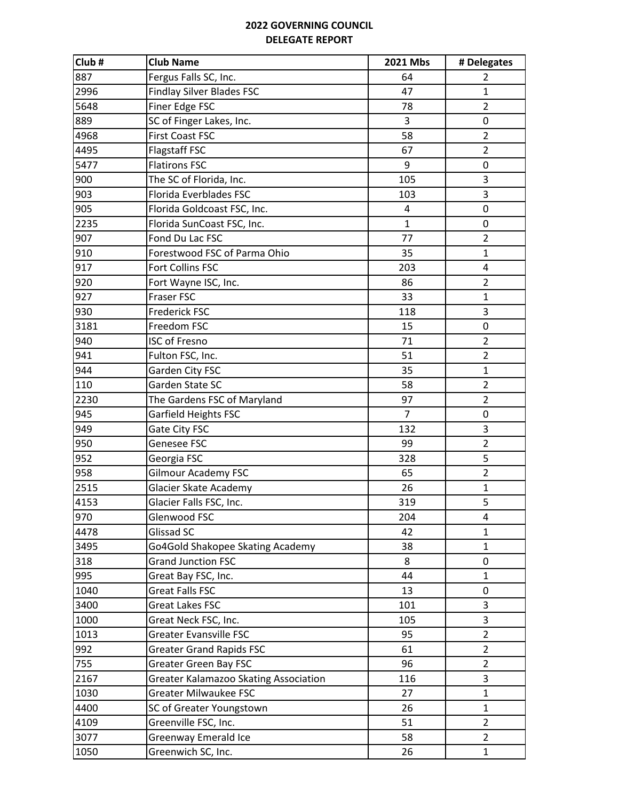| Club# | <b>Club Name</b>                      | 2021 Mbs       | # Delegates    |
|-------|---------------------------------------|----------------|----------------|
| 887   | Fergus Falls SC, Inc.                 | 64             | 2              |
| 2996  | <b>Findlay Silver Blades FSC</b>      | 47             | $\mathbf{1}$   |
| 5648  | Finer Edge FSC                        | 78             | $\overline{2}$ |
| 889   | SC of Finger Lakes, Inc.              | 3              | 0              |
| 4968  | <b>First Coast FSC</b>                | 58             | $\overline{2}$ |
| 4495  | <b>Flagstaff FSC</b>                  | 67             | $\overline{2}$ |
| 5477  | <b>Flatirons FSC</b>                  | 9              | 0              |
| 900   | The SC of Florida, Inc.               | 105            | 3              |
| 903   | Florida Everblades FSC                | 103            | 3              |
| 905   | Florida Goldcoast FSC, Inc.           | 4              | 0              |
| 2235  | Florida SunCoast FSC, Inc.            | $\mathbf{1}$   | 0              |
| 907   | Fond Du Lac FSC                       | 77             | $\overline{2}$ |
| 910   | Forestwood FSC of Parma Ohio          | 35             | $\mathbf{1}$   |
| 917   | Fort Collins FSC                      | 203            | 4              |
| 920   | Fort Wayne ISC, Inc.                  | 86             | $\overline{2}$ |
| 927   | Fraser FSC                            | 33             | $\mathbf{1}$   |
| 930   | Frederick FSC                         | 118            | 3              |
| 3181  | Freedom FSC                           | 15             | 0              |
| 940   | <b>ISC of Fresno</b>                  | 71             | $\overline{2}$ |
| 941   | Fulton FSC, Inc.                      | 51             | $\overline{2}$ |
| 944   | Garden City FSC                       | 35             | $\mathbf{1}$   |
| 110   | Garden State SC                       | 58             | $\overline{2}$ |
| 2230  | The Gardens FSC of Maryland           | 97             | $\overline{2}$ |
| 945   | Garfield Heights FSC                  | $\overline{7}$ | 0              |
| 949   | Gate City FSC                         | 132            | 3              |
| 950   | Genesee FSC                           | 99             | $\overline{2}$ |
| 952   | Georgia FSC                           | 328            | 5              |
| 958   | <b>Gilmour Academy FSC</b>            | 65             | $\overline{2}$ |
| 2515  | Glacier Skate Academy                 | 26             | $\mathbf{1}$   |
| 4153  | Glacier Falls FSC, Inc.               | 319            | 5              |
| 970   | Glenwood FSC                          | 204            | 4              |
| 4478  | Glissad SC                            | 42             | 1              |
| 3495  | Go4Gold Shakopee Skating Academy      | 38             | $\mathbf{1}$   |
| 318   | <b>Grand Junction FSC</b>             | 8              | 0              |
| 995   | Great Bay FSC, Inc.                   | 44             | 1              |
| 1040  | <b>Great Falls FSC</b>                | 13             | 0              |
| 3400  | Great Lakes FSC                       | 101            | 3              |
| 1000  | Great Neck FSC, Inc.                  | 105            | 3              |
| 1013  | <b>Greater Evansville FSC</b>         | 95             | $\overline{2}$ |
| 992   | <b>Greater Grand Rapids FSC</b>       | 61             | $\overline{2}$ |
| 755   | <b>Greater Green Bay FSC</b>          | 96             | $\overline{2}$ |
| 2167  | Greater Kalamazoo Skating Association | 116            | 3              |
| 1030  | <b>Greater Milwaukee FSC</b>          | 27             | $\mathbf{1}$   |
| 4400  | SC of Greater Youngstown              | 26             | $\mathbf{1}$   |
| 4109  | Greenville FSC, Inc.                  | 51             | $\overline{2}$ |
| 3077  | Greenway Emerald Ice                  | 58             | $\overline{2}$ |
| 1050  | Greenwich SC, Inc.                    | 26             | $\mathbf{1}$   |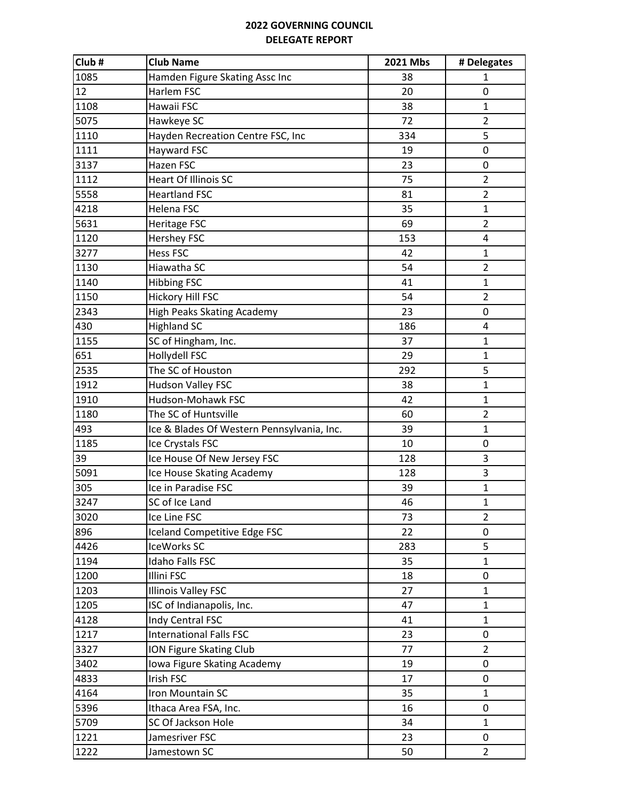| Club# | <b>Club Name</b>                           | 2021 Mbs | # Delegates    |
|-------|--------------------------------------------|----------|----------------|
| 1085  | Hamden Figure Skating Assc Inc             | 38       | 1              |
| 12    | Harlem FSC                                 | 20       | 0              |
| 1108  | Hawaii FSC                                 | 38       | 1              |
| 5075  | Hawkeye SC                                 | 72       | $\overline{2}$ |
| 1110  | Hayden Recreation Centre FSC, Inc          | 334      | 5              |
| 1111  | Hayward FSC                                | 19       | 0              |
| 3137  | Hazen FSC                                  | 23       | 0              |
| 1112  | <b>Heart Of Illinois SC</b>                | 75       | $\overline{2}$ |
| 5558  | <b>Heartland FSC</b>                       | 81       | $\overline{2}$ |
| 4218  | Helena FSC                                 | 35       | $\mathbf{1}$   |
| 5631  | Heritage FSC                               | 69       | $\overline{2}$ |
| 1120  | <b>Hershey FSC</b>                         | 153      | 4              |
| 3277  | <b>Hess FSC</b>                            | 42       | $\mathbf{1}$   |
| 1130  | Hiawatha SC                                | 54       | $\overline{2}$ |
| 1140  | <b>Hibbing FSC</b>                         | 41       | 1              |
| 1150  | Hickory Hill FSC                           | 54       | $\overline{2}$ |
| 2343  | High Peaks Skating Academy                 | 23       | 0              |
| 430   | <b>Highland SC</b>                         | 186      | 4              |
| 1155  | SC of Hingham, Inc.                        | 37       | $\mathbf{1}$   |
| 651   | Hollydell FSC                              | 29       | $\mathbf{1}$   |
| 2535  | The SC of Houston                          | 292      | 5              |
| 1912  | <b>Hudson Valley FSC</b>                   | 38       | $\mathbf{1}$   |
| 1910  | Hudson-Mohawk FSC                          | 42       | $\mathbf{1}$   |
| 1180  | The SC of Huntsville                       | 60       | $\overline{2}$ |
| 493   | Ice & Blades Of Western Pennsylvania, Inc. | 39       | $\mathbf{1}$   |
| 1185  | Ice Crystals FSC                           | 10       | 0              |
| 39    | Ice House Of New Jersey FSC                | 128      | 3              |
| 5091  | Ice House Skating Academy                  | 128      | 3              |
| 305   | Ice in Paradise FSC                        | 39       | $\mathbf{1}$   |
| 3247  | SC of Ice Land                             | 46       | $\mathbf{1}$   |
| 3020  | Ice Line FSC                               | 73       | 2              |
| 896   | Iceland Competitive Edge FSC               | 22       | 0              |
| 4426  | IceWorks SC                                | 283      | 5              |
| 1194  | Idaho Falls FSC                            | 35       | 1              |
| 1200  | Illini FSC                                 | 18       | 0              |
| 1203  | <b>Illinois Valley FSC</b>                 | 27       | $\mathbf{1}$   |
| 1205  | ISC of Indianapolis, Inc.                  | 47       | $\mathbf{1}$   |
| 4128  | Indy Central FSC                           | 41       | $\mathbf{1}$   |
| 1217  | <b>International Falls FSC</b>             | 23       | 0              |
| 3327  | ION Figure Skating Club                    | 77       | $\overline{2}$ |
| 3402  |                                            |          |                |
| 4833  | Iowa Figure Skating Academy<br>Irish FSC   | 19<br>17 | 0<br>0         |
|       |                                            |          |                |
| 4164  | Iron Mountain SC                           | 35       | $\mathbf{1}$   |
| 5396  | Ithaca Area FSA, Inc.                      | 16       | 0              |
| 5709  | SC Of Jackson Hole                         | 34       | $\mathbf{1}$   |
| 1221  | Jamesriver FSC                             | 23       | 0              |
| 1222  | Jamestown SC                               | 50       | $\overline{2}$ |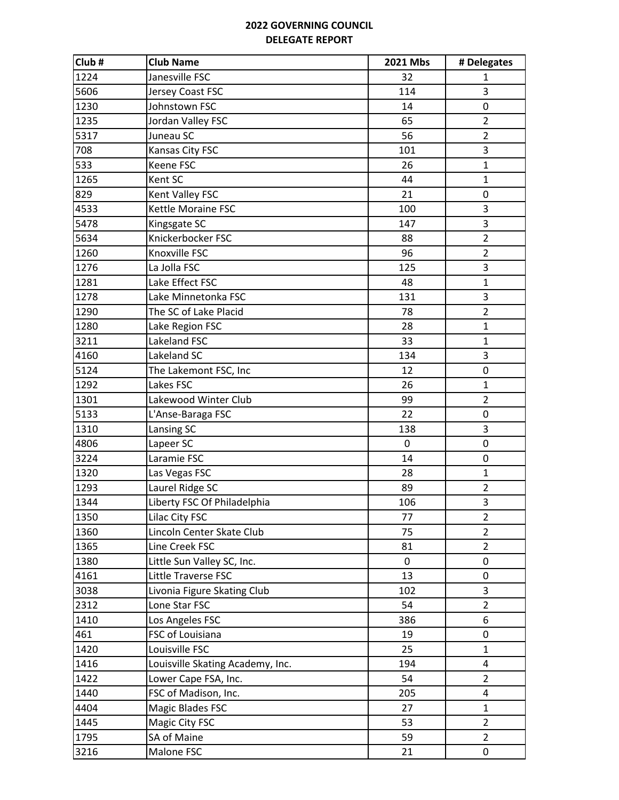| Club# | <b>Club Name</b>                 | 2021 Mbs    | # Delegates    |
|-------|----------------------------------|-------------|----------------|
| 1224  | Janesville FSC                   | 32          | 1              |
| 5606  | Jersey Coast FSC                 | 114         | 3              |
| 1230  | Johnstown FSC                    | 14          | $\mathbf 0$    |
| 1235  | Jordan Valley FSC                | 65          | $\overline{2}$ |
| 5317  | Juneau SC                        | 56          | $\overline{2}$ |
| 708   | Kansas City FSC                  | 101         | 3              |
| 533   | Keene FSC                        | 26          | $\mathbf{1}$   |
| 1265  | Kent SC                          | 44          | $\mathbf{1}$   |
| 829   | Kent Valley FSC                  | 21          | 0              |
| 4533  | Kettle Moraine FSC               | 100         | 3              |
| 5478  | Kingsgate SC                     | 147         | 3              |
| 5634  | Knickerbocker FSC                | 88          | $\overline{2}$ |
| 1260  | Knoxville FSC                    | 96          | $\overline{2}$ |
| 1276  | La Jolla FSC                     | 125         | 3              |
| 1281  | Lake Effect FSC                  | 48          | $\mathbf{1}$   |
| 1278  | Lake Minnetonka FSC              | 131         | 3              |
| 1290  | The SC of Lake Placid            | 78          | $\overline{2}$ |
| 1280  | Lake Region FSC                  | 28          | $\mathbf{1}$   |
| 3211  | Lakeland FSC                     | 33          | $\mathbf{1}$   |
| 4160  | Lakeland SC                      | 134         | 3              |
| 5124  | The Lakemont FSC, Inc            | 12          | 0              |
| 1292  | Lakes FSC                        | 26          | $\mathbf{1}$   |
| 1301  | Lakewood Winter Club             | 99          | $\overline{2}$ |
| 5133  | L'Anse-Baraga FSC                | 22          | 0              |
| 1310  | Lansing SC                       | 138         | 3              |
| 4806  | Lapeer SC                        | $\mathbf 0$ | $\pmb{0}$      |
| 3224  | Laramie FSC                      | 14          | $\mathbf 0$    |
| 1320  | Las Vegas FSC                    | 28          | $\mathbf{1}$   |
| 1293  | Laurel Ridge SC                  | 89          | $\overline{2}$ |
| 1344  | Liberty FSC Of Philadelphia      | 106         | 3              |
| 1350  | Lilac City FSC                   | 77          | $\overline{2}$ |
| 1360  | Lincoln Center Skate Club        | 75          | $\overline{2}$ |
| 1365  | Line Creek FSC                   | 81          | $\overline{2}$ |
| 1380  | Little Sun Valley SC, Inc.       | 0           | 0              |
| 4161  | Little Traverse FSC              | 13          | 0              |
| 3038  | Livonia Figure Skating Club      | 102         | 3              |
| 2312  | Lone Star FSC                    | 54          | $\overline{2}$ |
| 1410  | Los Angeles FSC                  | 386         | 6              |
| 461   | FSC of Louisiana                 | 19          | $\mathbf 0$    |
| 1420  | Louisville FSC                   | 25          | $\mathbf{1}$   |
| 1416  | Louisville Skating Academy, Inc. | 194         | 4              |
| 1422  | Lower Cape FSA, Inc.             | 54          | $\overline{2}$ |
| 1440  | FSC of Madison, Inc.             | 205         | 4              |
| 4404  | <b>Magic Blades FSC</b>          | 27          | $\mathbf{1}$   |
| 1445  | Magic City FSC                   | 53          | $\overline{2}$ |
| 1795  | SA of Maine                      | 59          | $\overline{2}$ |
| 3216  | Malone FSC                       | 21          | 0              |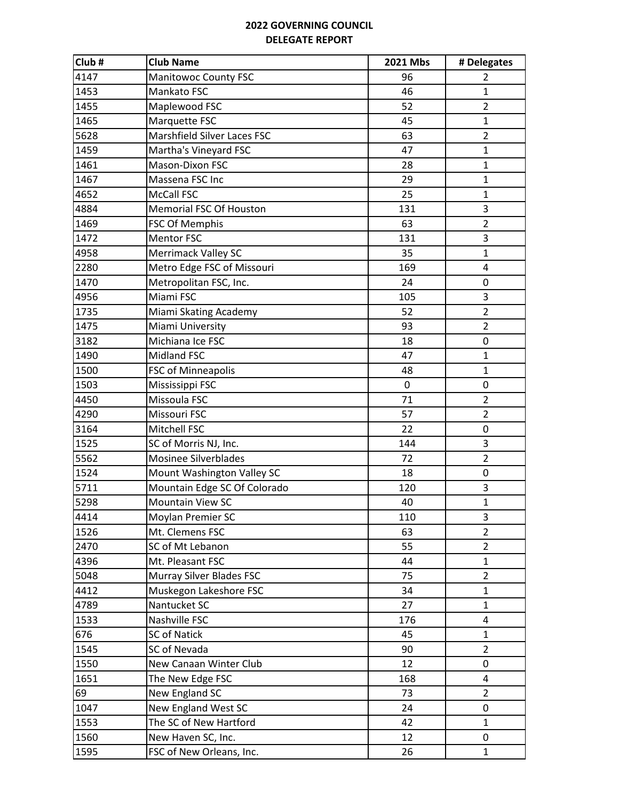| Club# | <b>Club Name</b>             | 2021 Mbs    | # Delegates    |
|-------|------------------------------|-------------|----------------|
| 4147  | <b>Manitowoc County FSC</b>  | 96          | 2              |
| 1453  | Mankato FSC                  | 46          | $\mathbf{1}$   |
| 1455  | Maplewood FSC                | 52          | $\overline{2}$ |
| 1465  | Marquette FSC                | 45          | 1              |
| 5628  | Marshfield Silver Laces FSC  | 63          | $\overline{2}$ |
| 1459  | Martha's Vineyard FSC        | 47          | $\mathbf{1}$   |
| 1461  | Mason-Dixon FSC              | 28          | $\mathbf{1}$   |
| 1467  | Massena FSC Inc              | 29          | $\mathbf{1}$   |
| 4652  | <b>McCall FSC</b>            | 25          | $\mathbf{1}$   |
| 4884  | Memorial FSC Of Houston      | 131         | 3              |
| 1469  | FSC Of Memphis               | 63          | $\overline{2}$ |
| 1472  | <b>Mentor FSC</b>            | 131         | 3              |
| 4958  | Merrimack Valley SC          | 35          | $\mathbf{1}$   |
| 2280  | Metro Edge FSC of Missouri   | 169         | 4              |
| 1470  | Metropolitan FSC, Inc.       | 24          | 0              |
| 4956  | Miami FSC                    | 105         | 3              |
| 1735  | Miami Skating Academy        | 52          | $\overline{2}$ |
| 1475  | Miami University             | 93          | $\overline{2}$ |
| 3182  | Michiana Ice FSC             | 18          | 0              |
| 1490  | Midland FSC                  | 47          | $\mathbf{1}$   |
| 1500  | FSC of Minneapolis           | 48          | $\mathbf 1$    |
| 1503  | Mississippi FSC              | $\mathbf 0$ | 0              |
| 4450  | Missoula FSC                 | 71          | $\overline{2}$ |
| 4290  | Missouri FSC                 | 57          | $\overline{2}$ |
| 3164  | Mitchell FSC                 | 22          | 0              |
| 1525  | SC of Morris NJ, Inc.        | 144         | 3              |
| 5562  | Mosinee Silverblades         | 72          | $\overline{2}$ |
| 1524  | Mount Washington Valley SC   | 18          | 0              |
| 5711  | Mountain Edge SC Of Colorado | 120         | 3              |
| 5298  | <b>Mountain View SC</b>      | 40          | $\mathbf{1}$   |
| 4414  | Moylan Premier SC            | 110         | 3              |
| 1526  | Mt. Clemens FSC              | 63          | $\overline{2}$ |
| 2470  | SC of Mt Lebanon             | 55          | $\overline{2}$ |
| 4396  | Mt. Pleasant FSC             | 44          | $\mathbf{1}$   |
| 5048  | Murray Silver Blades FSC     | 75          | $\overline{2}$ |
| 4412  | Muskegon Lakeshore FSC       | 34          | 1              |
| 4789  | Nantucket SC                 | 27          | 1              |
| 1533  | Nashville FSC                | 176         | 4              |
| 676   | <b>SC of Natick</b>          | 45          | $\mathbf{1}$   |
| 1545  | SC of Nevada                 | 90          | $\overline{2}$ |
| 1550  | New Canaan Winter Club       | 12          | 0              |
| 1651  | The New Edge FSC             | 168         | 4              |
| 69    | New England SC               | 73          | $\overline{2}$ |
| 1047  | New England West SC          | 24          | 0              |
| 1553  | The SC of New Hartford       | 42          | $\mathbf{1}$   |
| 1560  | New Haven SC, Inc.           | 12          | 0              |
| 1595  | FSC of New Orleans, Inc.     | 26          | $\mathbf{1}$   |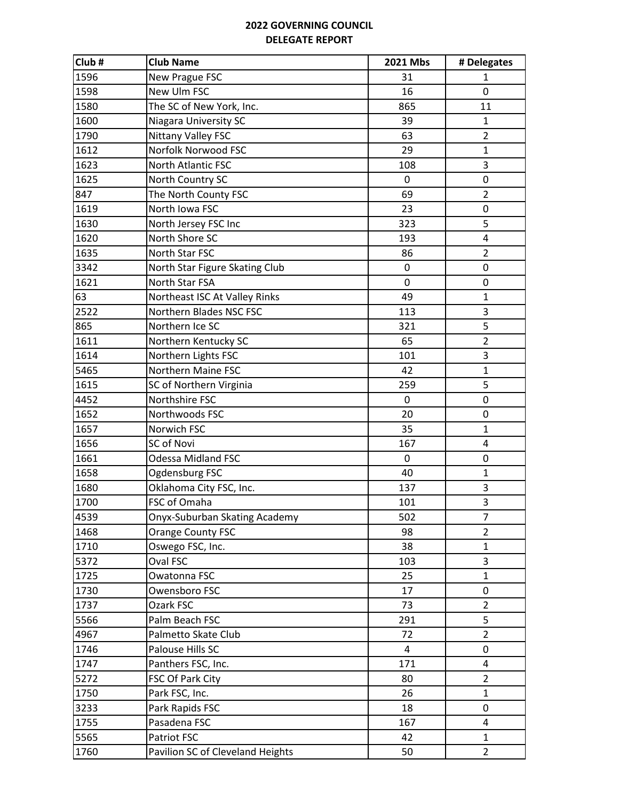| Club# | <b>Club Name</b>                 | 2021 Mbs       | # Delegates             |
|-------|----------------------------------|----------------|-------------------------|
| 1596  | New Prague FSC                   | 31             | 1                       |
| 1598  | New Ulm FSC                      | 16             | 0                       |
| 1580  | The SC of New York, Inc.         | 865            | 11                      |
| 1600  | <b>Niagara University SC</b>     | 39             | 1                       |
| 1790  | Nittany Valley FSC               | 63             | $\overline{2}$          |
| 1612  | Norfolk Norwood FSC              | 29             | $\mathbf{1}$            |
| 1623  | North Atlantic FSC               | 108            | 3                       |
| 1625  | North Country SC                 | $\pmb{0}$      | 0                       |
| 847   | The North County FSC             | 69             | $\overline{2}$          |
| 1619  | North Iowa FSC                   | 23             | 0                       |
| 1630  | North Jersey FSC Inc             | 323            | 5                       |
| 1620  | North Shore SC                   | 193            | $\overline{\mathbf{4}}$ |
| 1635  | North Star FSC                   | 86             | $\overline{2}$          |
| 3342  | North Star Figure Skating Club   | 0              | 0                       |
| 1621  | North Star FSA                   | 0              | 0                       |
| 63    | Northeast ISC At Valley Rinks    | 49             | $\mathbf{1}$            |
| 2522  | Northern Blades NSC FSC          | 113            | 3                       |
| 865   | Northern Ice SC                  | 321            | 5                       |
| 1611  | Northern Kentucky SC             | 65             | $\overline{2}$          |
| 1614  | Northern Lights FSC              | 101            | 3                       |
| 5465  | Northern Maine FSC               | 42             | $\mathbf 1$             |
| 1615  | SC of Northern Virginia          | 259            | 5                       |
| 4452  | Northshire FSC                   | 0              | 0                       |
| 1652  | Northwoods FSC                   | 20             | 0                       |
| 1657  | Norwich FSC                      | 35             | $\mathbf{1}$            |
| 1656  | SC of Novi                       | 167            | 4                       |
| 1661  | <b>Odessa Midland FSC</b>        | $\mathbf 0$    | 0                       |
| 1658  | Ogdensburg FSC                   | 40             | $\mathbf{1}$            |
| 1680  | Oklahoma City FSC, Inc.          | 137            | 3                       |
| 1700  | FSC of Omaha                     | 101            | 3                       |
| 4539  | Onyx-Suburban Skating Academy    | 502            | 7                       |
| 1468  | Orange County FSC                | 98             | $\overline{2}$          |
| 1710  | Oswego FSC, Inc.                 | 38             | $\mathbf{1}$            |
| 5372  | Oval FSC                         | 103            | 3                       |
| 1725  | Owatonna FSC                     | 25             | $\mathbf{1}$            |
| 1730  | Owensboro FSC                    | 17             | 0                       |
| 1737  | Ozark FSC                        | 73             | $\overline{2}$          |
| 5566  | Palm Beach FSC                   | 291            | 5                       |
| 4967  | Palmetto Skate Club              | 72             | $\overline{2}$          |
| 1746  | Palouse Hills SC                 | $\overline{4}$ | 0                       |
| 1747  | Panthers FSC, Inc.               | 171            | 4                       |
| 5272  | FSC Of Park City                 | 80             | $\overline{2}$          |
| 1750  | Park FSC, Inc.                   | 26             | $\mathbf{1}$            |
| 3233  | Park Rapids FSC                  | 18             | 0                       |
| 1755  | Pasadena FSC                     | 167            | 4                       |
| 5565  | Patriot FSC                      | 42             | $\mathbf{1}$            |
| 1760  | Pavilion SC of Cleveland Heights | 50             | $\overline{2}$          |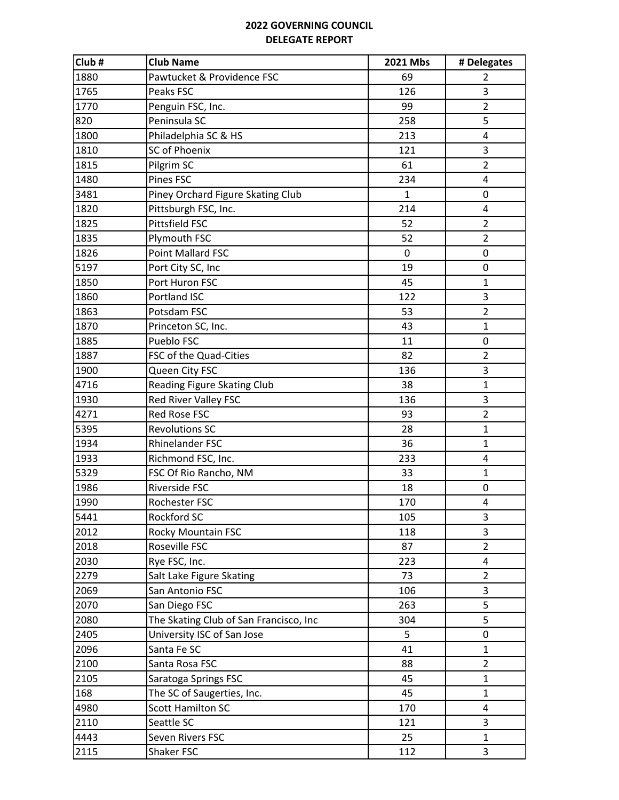| Club# | <b>Club Name</b>                       | 2021 Mbs     | # Delegates             |
|-------|----------------------------------------|--------------|-------------------------|
| 1880  | Pawtucket & Providence FSC             | 69           | 2                       |
| 1765  | Peaks FSC                              | 126          | 3                       |
| 1770  | Penguin FSC, Inc.                      | 99           | $\overline{2}$          |
| 820   | Peninsula SC                           | 258          | 5                       |
| 1800  | Philadelphia SC & HS                   | 213          | 4                       |
| 1810  | SC of Phoenix                          | 121          | 3                       |
| 1815  | Pilgrim SC                             | 61           | $\overline{2}$          |
| 1480  | Pines FSC                              | 234          | 4                       |
| 3481  | Piney Orchard Figure Skating Club      | $\mathbf{1}$ | 0                       |
| 1820  | Pittsburgh FSC, Inc.                   | 214          | 4                       |
| 1825  | Pittsfield FSC                         | 52           | $\overline{2}$          |
| 1835  | Plymouth FSC                           | 52           | $\overline{2}$          |
| 1826  | Point Mallard FSC                      | 0            | 0                       |
| 5197  | Port City SC, Inc                      | 19           | 0                       |
| 1850  | Port Huron FSC                         | 45           | $\mathbf{1}$            |
| 1860  | Portland ISC                           | 122          | 3                       |
| 1863  | Potsdam FSC                            | 53           | $\overline{2}$          |
| 1870  | Princeton SC, Inc.                     | 43           | $\mathbf{1}$            |
| 1885  | Pueblo FSC                             | 11           | 0                       |
| 1887  | FSC of the Quad-Cities                 | 82           | $\overline{2}$          |
| 1900  | Queen City FSC                         | 136          | 3                       |
| 4716  | Reading Figure Skating Club            | 38           | $\mathbf{1}$            |
| 1930  | Red River Valley FSC                   | 136          | 3                       |
| 4271  | <b>Red Rose FSC</b>                    | 93           | $\overline{2}$          |
| 5395  | <b>Revolutions SC</b>                  | 28           | $\mathbf{1}$            |
| 1934  | Rhinelander FSC                        | 36           | $\mathbf{1}$            |
| 1933  | Richmond FSC, Inc.                     | 233          | 4                       |
| 5329  | FSC Of Rio Rancho, NM                  | 33           | $\mathbf{1}$            |
| 1986  | Riverside FSC                          | 18           | 0                       |
| 1990  | Rochester FSC                          | 170          | 4                       |
| 5441  | Rockford SC                            | 105          | 3                       |
| 2012  | Rocky Mountain FSC                     | 118          | 3                       |
| 2018  | Roseville FSC                          | 87           | $\overline{2}$          |
| 2030  | Rye FSC, Inc.                          | 223          | 4                       |
| 2279  | Salt Lake Figure Skating               | 73           | $\overline{2}$          |
| 2069  | San Antonio FSC                        | 106          | 3                       |
| 2070  | San Diego FSC                          | 263          | 5                       |
| 2080  | The Skating Club of San Francisco, Inc | 304          | 5                       |
| 2405  | University ISC of San Jose             | 5            | 0                       |
| 2096  | Santa Fe SC                            | 41           | $\mathbf 1$             |
| 2100  | Santa Rosa FSC                         | 88           | $\overline{2}$          |
| 2105  | Saratoga Springs FSC                   | 45           | $\mathbf{1}$            |
| 168   | The SC of Saugerties, Inc.             | 45           | $\mathbf{1}$            |
| 4980  | <b>Scott Hamilton SC</b>               | 170          | $\overline{\mathbf{4}}$ |
| 2110  | Seattle SC                             | 121          | 3                       |
| 4443  | Seven Rivers FSC                       | 25           | $\mathbf{1}$            |
| 2115  | Shaker FSC                             | 112          | 3                       |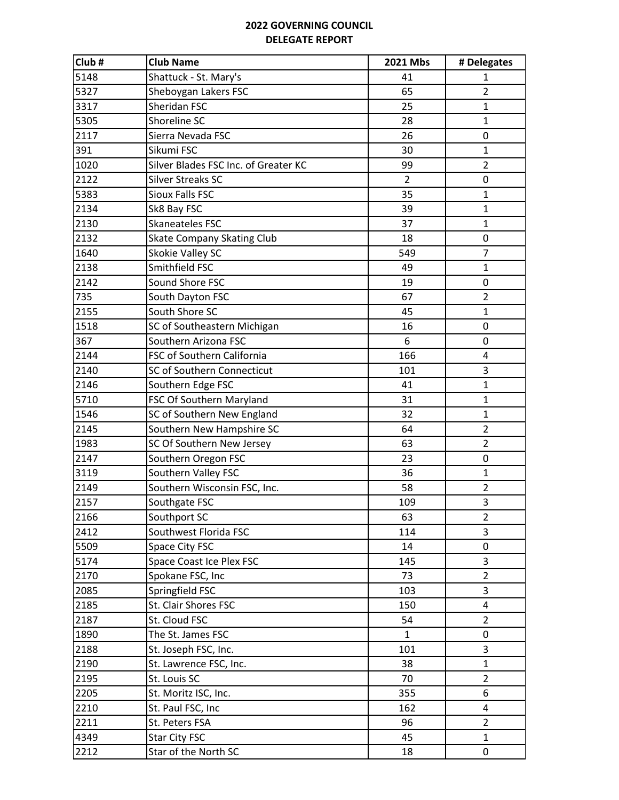| Club# | <b>Club Name</b>                     | 2021 Mbs       | # Delegates             |
|-------|--------------------------------------|----------------|-------------------------|
| 5148  | Shattuck - St. Mary's                | 41             | 1                       |
| 5327  | Sheboygan Lakers FSC                 | 65             | $\overline{2}$          |
| 3317  | Sheridan FSC                         | 25             | $\mathbf{1}$            |
| 5305  | Shoreline SC                         | 28             | $\mathbf{1}$            |
| 2117  | Sierra Nevada FSC                    | 26             | 0                       |
| 391   | Sikumi FSC                           | 30             | $\mathbf{1}$            |
| 1020  | Silver Blades FSC Inc. of Greater KC | 99             | $\overline{2}$          |
| 2122  | <b>Silver Streaks SC</b>             | $\overline{2}$ | 0                       |
| 5383  | <b>Sioux Falls FSC</b>               | 35             | $\mathbf{1}$            |
| 2134  | Sk8 Bay FSC                          | 39             | 1                       |
| 2130  | Skaneateles FSC                      | 37             | $\mathbf{1}$            |
| 2132  | <b>Skate Company Skating Club</b>    | 18             | 0                       |
| 1640  | Skokie Valley SC                     | 549            | $\overline{7}$          |
| 2138  | Smithfield FSC                       | 49             | $\mathbf{1}$            |
| 2142  | Sound Shore FSC                      | 19             | 0                       |
| 735   | South Dayton FSC                     | 67             | $\overline{2}$          |
| 2155  | South Shore SC                       | 45             | $\mathbf{1}$            |
| 1518  | SC of Southeastern Michigan          | 16             | 0                       |
| 367   | Southern Arizona FSC                 | 6              | 0                       |
| 2144  | FSC of Southern California           | 166            | 4                       |
| 2140  | SC of Southern Connecticut           | 101            | 3                       |
| 2146  | Southern Edge FSC                    | 41             | 1                       |
| 5710  | FSC Of Southern Maryland             | 31             | $\mathbf{1}$            |
| 1546  | SC of Southern New England           | 32             | $\mathbf{1}$            |
| 2145  | Southern New Hampshire SC            | 64             | $\overline{2}$          |
| 1983  | SC Of Southern New Jersey            | 63             | $\overline{2}$          |
| 2147  | Southern Oregon FSC                  | 23             | 0                       |
| 3119  | Southern Valley FSC                  | 36             | $\mathbf{1}$            |
| 2149  | Southern Wisconsin FSC, Inc.         | 58             | $\overline{2}$          |
| 2157  | Southgate FSC                        | 109            | 3                       |
| 2166  | Southport SC                         | 63             | $\overline{2}$          |
| 2412  | Southwest Florida FSC                | 114            | 3                       |
| 5509  | Space City FSC                       | 14             | 0                       |
| 5174  | Space Coast Ice Plex FSC             | 145            | 3                       |
| 2170  | Spokane FSC, Inc                     | 73             | $\overline{2}$          |
| 2085  | Springfield FSC                      | 103            | 3                       |
| 2185  | St. Clair Shores FSC                 | 150            | $\overline{\mathbf{4}}$ |
| 2187  | St. Cloud FSC                        | 54             | $\overline{2}$          |
| 1890  | The St. James FSC                    | $\mathbf{1}$   | 0                       |
| 2188  | St. Joseph FSC, Inc.                 | 101            | 3                       |
| 2190  | St. Lawrence FSC, Inc.               | 38             | 1                       |
| 2195  | St. Louis SC                         | 70             | $\overline{2}$          |
| 2205  | St. Moritz ISC, Inc.                 | 355            | 6                       |
| 2210  | St. Paul FSC, Inc                    | 162            | $\overline{4}$          |
| 2211  | St. Peters FSA                       | 96             | $\overline{2}$          |
| 4349  | Star City FSC                        | 45             | $\mathbf{1}$            |
| 2212  | Star of the North SC                 | 18             | 0                       |
|       |                                      |                |                         |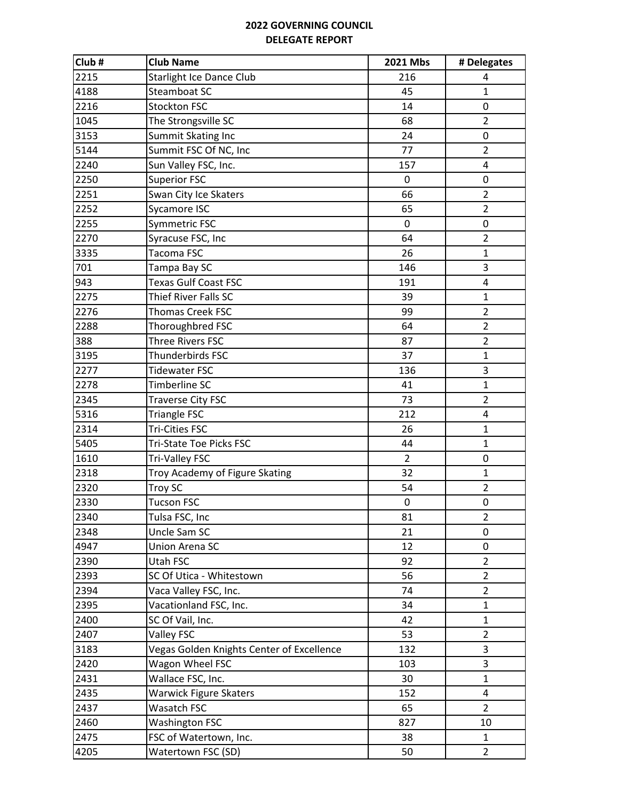| Club# | <b>Club Name</b>                          | 2021 Mbs       | # Delegates             |
|-------|-------------------------------------------|----------------|-------------------------|
| 2215  | Starlight Ice Dance Club                  | 216            | 4                       |
| 4188  | Steamboat SC                              | 45             | $\mathbf{1}$            |
| 2216  | <b>Stockton FSC</b>                       | 14             | 0                       |
| 1045  | The Strongsville SC                       | 68             | $\overline{2}$          |
| 3153  | Summit Skating Inc                        | 24             | 0                       |
| 5144  | Summit FSC Of NC, Inc                     | 77             | $\overline{2}$          |
| 2240  | Sun Valley FSC, Inc.                      | 157            | $\overline{\mathbf{4}}$ |
| 2250  | <b>Superior FSC</b>                       | $\mathbf 0$    | $\mathbf 0$             |
| 2251  | Swan City Ice Skaters                     | 66             | $\overline{2}$          |
| 2252  | Sycamore ISC                              | 65             | $\overline{2}$          |
| 2255  | Symmetric FSC                             | $\mathbf 0$    | 0                       |
| 2270  | Syracuse FSC, Inc                         | 64             | $\overline{2}$          |
| 3335  | Tacoma FSC                                | 26             | $\mathbf{1}$            |
| 701   | Tampa Bay SC                              | 146            | 3                       |
| 943   | <b>Texas Gulf Coast FSC</b>               | 191            | $\overline{4}$          |
| 2275  | Thief River Falls SC                      | 39             | $\mathbf{1}$            |
| 2276  | Thomas Creek FSC                          | 99             | $\overline{2}$          |
| 2288  | Thoroughbred FSC                          | 64             | $\overline{2}$          |
| 388   | Three Rivers FSC                          | 87             | $\overline{2}$          |
| 3195  | Thunderbirds FSC                          | 37             | $\mathbf{1}$            |
| 2277  | <b>Tidewater FSC</b>                      | 136            | 3                       |
| 2278  | Timberline SC                             | 41             | $\mathbf{1}$            |
| 2345  | <b>Traverse City FSC</b>                  | 73             | $\overline{2}$          |
| 5316  | <b>Triangle FSC</b>                       | 212            | 4                       |
| 2314  | <b>Tri-Cities FSC</b>                     | 26             | $\mathbf{1}$            |
| 5405  | <b>Tri-State Toe Picks FSC</b>            | 44             | $\mathbf{1}$            |
| 1610  | Tri-Valley FSC                            | $\overline{2}$ | $\mathbf 0$             |
| 2318  | Troy Academy of Figure Skating            | 32             | $\mathbf{1}$            |
| 2320  | Troy SC                                   | 54             | $\overline{2}$          |
| 2330  | <b>Tucson FSC</b>                         | $\pmb{0}$      | 0                       |
| 2340  | Tulsa FSC, Inc                            | 81             | $\overline{2}$          |
| 2348  | Uncle Sam SC                              | 21             | 0                       |
| 4947  | Union Arena SC                            | 12             | 0                       |
| 2390  | Utah FSC                                  | 92             | $\overline{2}$          |
| 2393  | SC Of Utica - Whitestown                  | 56             | $\overline{2}$          |
| 2394  | Vaca Valley FSC, Inc.                     | 74             | $\overline{2}$          |
| 2395  | Vacationland FSC, Inc.                    | 34             | $\mathbf{1}$            |
| 2400  | SC Of Vail, Inc.                          | 42             | $\mathbf{1}$            |
| 2407  | <b>Valley FSC</b>                         | 53             | $\overline{2}$          |
| 3183  | Vegas Golden Knights Center of Excellence | 132            | 3                       |
| 2420  | Wagon Wheel FSC                           | 103            | 3                       |
| 2431  | Wallace FSC, Inc.                         | 30             | $\mathbf{1}$            |
| 2435  | <b>Warwick Figure Skaters</b>             | 152            | 4                       |
| 2437  | Wasatch FSC                               | 65             | $\overline{2}$          |
| 2460  | <b>Washington FSC</b>                     | 827            | 10                      |
| 2475  | FSC of Watertown, Inc.                    | 38             | $\mathbf{1}$            |
| 4205  | Watertown FSC (SD)                        | 50             | $\overline{2}$          |